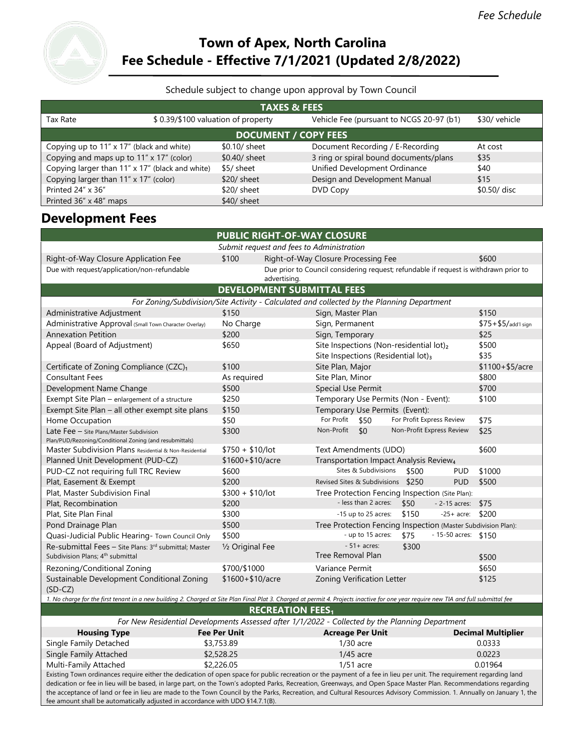# **Town of Apex, North Carolina Fee Schedule - Effective 7/1/2021 (Updated 2/8/2022)**

## Schedule subject to change upon approval by Town Council

| <b>TAXES &amp; FEES</b>                         |                                    |               |                                          |               |  |  |
|-------------------------------------------------|------------------------------------|---------------|------------------------------------------|---------------|--|--|
| Tax Rate                                        | \$0.39/\$100 valuation of property |               | Vehicle Fee (pursuant to NCGS 20-97 (b1) | \$30/ vehicle |  |  |
| <b>DOCUMENT / COPY FEES</b>                     |                                    |               |                                          |               |  |  |
| Copying up to 11" x 17" (black and white)       |                                    | \$0.10/ sheet | Document Recording / E-Recording         | At cost       |  |  |
| Copying and maps up to 11" x 17" (color)        |                                    | \$0.40/ sheet | 3 ring or spiral bound documents/plans   | \$35          |  |  |
| Copying larger than 11" x 17" (black and white) |                                    | \$5/ sheet    | Unified Development Ordinance            | \$40          |  |  |
| Copying larger than 11" x 17" (color)           |                                    | $$20/$ sheet  | Design and Development Manual            | \$15          |  |  |
| Printed 24" x 36"                               |                                    | $$20/$ sheet  | DVD Copy                                 | \$0.50/ disc  |  |  |
| Printed 36" x 48" maps                          |                                    | $$40/$ sheet  |                                          |               |  |  |

# **Development Fees**

| <b>PUBLIC RIGHT-OF-WAY CLOSURE</b>                                                                                                                                                                                                                                                                                                       |                                                                                       |                                                                                                                                                                                      |                           |  |  |
|------------------------------------------------------------------------------------------------------------------------------------------------------------------------------------------------------------------------------------------------------------------------------------------------------------------------------------------|---------------------------------------------------------------------------------------|--------------------------------------------------------------------------------------------------------------------------------------------------------------------------------------|---------------------------|--|--|
| Submit request and fees to Administration                                                                                                                                                                                                                                                                                                |                                                                                       |                                                                                                                                                                                      |                           |  |  |
| Right-of-Way Closure Application Fee                                                                                                                                                                                                                                                                                                     | \$100<br>\$600<br>Right-of-Way Closure Processing Fee                                 |                                                                                                                                                                                      |                           |  |  |
| Due with request/application/non-refundable                                                                                                                                                                                                                                                                                              | Due prior to Council considering request; refundable if request is withdrawn prior to |                                                                                                                                                                                      |                           |  |  |
|                                                                                                                                                                                                                                                                                                                                          | advertising.                                                                          |                                                                                                                                                                                      |                           |  |  |
|                                                                                                                                                                                                                                                                                                                                          | <b>DEVELOPMENT SUBMITTAL FEES</b>                                                     |                                                                                                                                                                                      |                           |  |  |
|                                                                                                                                                                                                                                                                                                                                          |                                                                                       | For Zoning/Subdivision/Site Activity - Calculated and collected by the Planning Department                                                                                           |                           |  |  |
| Administrative Adjustment                                                                                                                                                                                                                                                                                                                | \$150                                                                                 | Sign, Master Plan                                                                                                                                                                    | \$150                     |  |  |
| Administrative Approval (Small Town Character Overlay)                                                                                                                                                                                                                                                                                   | No Charge                                                                             | Sign, Permanent                                                                                                                                                                      | \$75+\$5/add'l sign       |  |  |
| <b>Annexation Petition</b>                                                                                                                                                                                                                                                                                                               | \$200                                                                                 | Sign, Temporary<br>\$25                                                                                                                                                              |                           |  |  |
| Appeal (Board of Adjustment)                                                                                                                                                                                                                                                                                                             | \$650                                                                                 | Site Inspections (Non-residential lot)2                                                                                                                                              | \$500                     |  |  |
|                                                                                                                                                                                                                                                                                                                                          |                                                                                       | Site Inspections (Residential lot)3<br>\$35                                                                                                                                          |                           |  |  |
| Certificate of Zoning Compliance (CZC)1                                                                                                                                                                                                                                                                                                  | \$100                                                                                 | Site Plan, Major                                                                                                                                                                     | $$1100 + $5/$ acre        |  |  |
| <b>Consultant Fees</b>                                                                                                                                                                                                                                                                                                                   | As required                                                                           | Site Plan, Minor                                                                                                                                                                     | \$800                     |  |  |
| Development Name Change                                                                                                                                                                                                                                                                                                                  | \$500                                                                                 | <b>Special Use Permit</b>                                                                                                                                                            | \$700                     |  |  |
| Exempt Site Plan - enlargement of a structure                                                                                                                                                                                                                                                                                            | \$250                                                                                 | Temporary Use Permits (Non - Event):                                                                                                                                                 | \$100                     |  |  |
| Exempt Site Plan - all other exempt site plans                                                                                                                                                                                                                                                                                           | \$150                                                                                 | Temporary Use Permits (Event):                                                                                                                                                       |                           |  |  |
| Home Occupation                                                                                                                                                                                                                                                                                                                          | \$50                                                                                  | For Profit<br>For Profit Express Review<br>\$50<br>\$75                                                                                                                              |                           |  |  |
| Late Fee - Site Plans/Master Subdivision<br>Plan/PUD/Rezoning/Conditional Zoning (and resubmittals)                                                                                                                                                                                                                                      | \$300                                                                                 | Non-Profit Express Review<br>Non-Profit<br>\$0<br>\$25                                                                                                                               |                           |  |  |
| Master Subdivision Plans Residential & Non-Residential                                                                                                                                                                                                                                                                                   | $$750 + $10/lot$                                                                      | Text Amendments (UDO)                                                                                                                                                                | \$600                     |  |  |
| Planned Unit Development (PUD-CZ)                                                                                                                                                                                                                                                                                                        | \$1600+\$10/acre                                                                      | Transportation Impact Analysis Review <sub>4</sub>                                                                                                                                   |                           |  |  |
| PUD-CZ not requiring full TRC Review                                                                                                                                                                                                                                                                                                     | \$600                                                                                 | Sites & Subdivisions<br>\$500<br><b>PUD</b>                                                                                                                                          | \$1000                    |  |  |
| Plat, Easement & Exempt                                                                                                                                                                                                                                                                                                                  | \$200                                                                                 | Revised Sites & Subdivisions \$250<br><b>PUD</b>                                                                                                                                     | \$500                     |  |  |
| Plat, Master Subdivision Final                                                                                                                                                                                                                                                                                                           | $$300 + $10/$ lot                                                                     | Tree Protection Fencing Inspection (Site Plan):                                                                                                                                      |                           |  |  |
| Plat, Recombination                                                                                                                                                                                                                                                                                                                      | \$200                                                                                 | - less than 2 acres:<br>\$50<br>\$75<br>$-2-15$ acres:                                                                                                                               |                           |  |  |
| Plat, Site Plan Final                                                                                                                                                                                                                                                                                                                    | \$300                                                                                 | \$150<br>-15 up to 25 acres:<br>$-25+$ acre:                                                                                                                                         | \$200                     |  |  |
| Pond Drainage Plan                                                                                                                                                                                                                                                                                                                       | \$500                                                                                 | Tree Protection Fencing Inspection (Master Subdivision Plan):                                                                                                                        |                           |  |  |
| Quasi-Judicial Public Hearing- Town Council Only                                                                                                                                                                                                                                                                                         | \$500                                                                                 | - 15-50 acres: \$150<br>- up to 15 acres:<br>\$75                                                                                                                                    |                           |  |  |
| Re-submittal Fees - Site Plans: 3rd submittal; Master                                                                                                                                                                                                                                                                                    | 1/2 Original Fee                                                                      | $-51+$ acres:<br>\$300                                                                                                                                                               |                           |  |  |
| Subdivision Plans; 4 <sup>th</sup> submittal                                                                                                                                                                                                                                                                                             |                                                                                       | Tree Removal Plan                                                                                                                                                                    | \$500                     |  |  |
| Rezoning/Conditional Zoning                                                                                                                                                                                                                                                                                                              | \$700/\$1000                                                                          | Variance Permit                                                                                                                                                                      | \$650                     |  |  |
| Sustainable Development Conditional Zoning                                                                                                                                                                                                                                                                                               | \$1600+\$10/acre                                                                      | Zoning Verification Letter                                                                                                                                                           | \$125                     |  |  |
| $(SD-CZ)$                                                                                                                                                                                                                                                                                                                                |                                                                                       |                                                                                                                                                                                      |                           |  |  |
|                                                                                                                                                                                                                                                                                                                                          |                                                                                       | 1. No charge for the first tenant in a new building 2. Charged at Site Plan Final Plat 3. Charged at permit 4. Projects inactive for one year require new TIA and full submittal fee |                           |  |  |
|                                                                                                                                                                                                                                                                                                                                          | <b>RECREATION FEES1</b>                                                               |                                                                                                                                                                                      |                           |  |  |
|                                                                                                                                                                                                                                                                                                                                          |                                                                                       | For New Residential Developments Assessed after 1/1/2022 - Collected by the Planning Department                                                                                      |                           |  |  |
| <b>Housing Type</b>                                                                                                                                                                                                                                                                                                                      | <b>Fee Per Unit</b>                                                                   | <b>Acreage Per Unit</b>                                                                                                                                                              | <b>Decimal Multiplier</b> |  |  |
| Single Family Detached                                                                                                                                                                                                                                                                                                                   | \$3,753.89                                                                            | $1/30$ acre                                                                                                                                                                          | 0.0333                    |  |  |
| Single Family Attached                                                                                                                                                                                                                                                                                                                   | \$2,528.25                                                                            | $1/45$ acre                                                                                                                                                                          | 0.0223                    |  |  |
| Multi-Family Attached                                                                                                                                                                                                                                                                                                                    | \$2,226.05                                                                            | $1/51$ acre                                                                                                                                                                          | 0.01964                   |  |  |
| Existing Town ordinances require either the dedication of open space for public recreation or the payment of a fee in lieu per unit. The requirement regarding land<br>dedication or fee in lieu will be based, in large part, on the Town's adopted Parks, Recreation, Greenways, and Open Space Master Plan. Recommendations regarding |                                                                                       |                                                                                                                                                                                      |                           |  |  |
| the acceptance of land or fee in lieu are made to the Town Council by the Parks, Recreation, and Cultural Resources Advisory Commission. 1. Annually on January 1, the                                                                                                                                                                   |                                                                                       |                                                                                                                                                                                      |                           |  |  |

fee amount shall be automatically adjusted in accordance with UDO §14.7.1(B).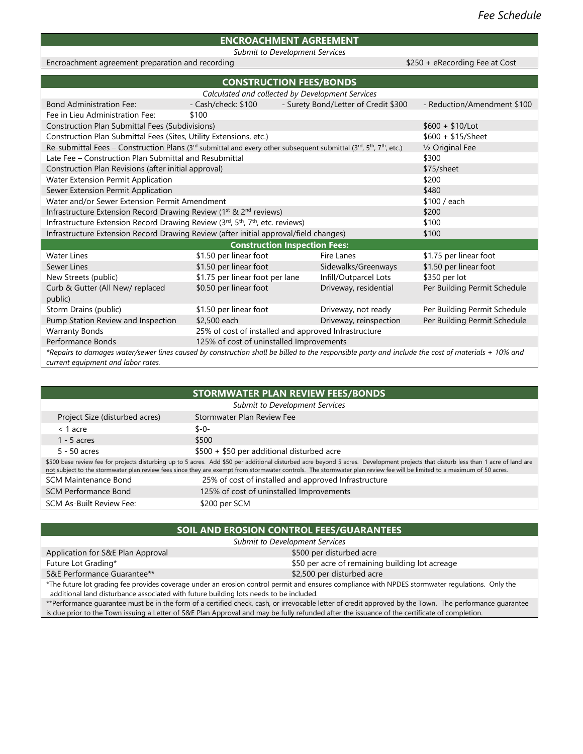## **ENCROACHMENT AGREEMENT**

*Submit to Development Services*

Encroachment agreement preparation and recording **Encroachment agreement** preparation and recording **Equation**  $$250 + e$ Recording Fee at Cost

| <b>CONSTRUCTION FEES/BONDS</b>                                                                                                                                      |                                                      |  |                                      |                              |  |
|---------------------------------------------------------------------------------------------------------------------------------------------------------------------|------------------------------------------------------|--|--------------------------------------|------------------------------|--|
| Calculated and collected by Development Services                                                                                                                    |                                                      |  |                                      |                              |  |
| <b>Bond Administration Fee:</b>                                                                                                                                     | - Cash/check: \$100                                  |  | - Surety Bond/Letter of Credit \$300 | - Reduction/Amendment \$100  |  |
| Fee in Lieu Administration Fee:                                                                                                                                     | \$100                                                |  |                                      |                              |  |
| Construction Plan Submittal Fees (Subdivisions)                                                                                                                     |                                                      |  |                                      | $$600 + $10/$ Lot            |  |
| Construction Plan Submittal Fees (Sites, Utility Extensions, etc.)                                                                                                  |                                                      |  |                                      | $$600 + $15/Sheet$           |  |
| Re-submittal Fees – Construction Plans (3 <sup>rd</sup> submittal and every other subsequent submittal (3 <sup>rd</sup> , 5 <sup>th</sup> , 7 <sup>th</sup> , etc.) |                                                      |  |                                      | 1/2 Original Fee             |  |
| Late Fee – Construction Plan Submittal and Resubmittal                                                                                                              |                                                      |  |                                      | \$300                        |  |
| Construction Plan Revisions (after initial approval)                                                                                                                |                                                      |  |                                      | \$75/sheet                   |  |
| Water Extension Permit Application                                                                                                                                  |                                                      |  |                                      | \$200                        |  |
| Sewer Extension Permit Application                                                                                                                                  |                                                      |  |                                      | \$480                        |  |
| Water and/or Sewer Extension Permit Amendment                                                                                                                       |                                                      |  |                                      | \$100 / each                 |  |
| Infrastructure Extension Record Drawing Review (1 <sup>st</sup> & 2 <sup>nd</sup> reviews)                                                                          |                                                      |  |                                      | \$200                        |  |
| Infrastructure Extension Record Drawing Review (3rd, 5 <sup>th</sup> , 7 <sup>th</sup> , etc. reviews)                                                              |                                                      |  |                                      | \$100                        |  |
| Infrastructure Extension Record Drawing Review (after initial approval/field changes)                                                                               |                                                      |  |                                      | \$100                        |  |
|                                                                                                                                                                     | <b>Construction Inspection Fees:</b>                 |  |                                      |                              |  |
| <b>Water Lines</b>                                                                                                                                                  | \$1.50 per linear foot                               |  | Fire Lanes                           | \$1.75 per linear foot       |  |
| Sewer Lines                                                                                                                                                         | \$1.50 per linear foot                               |  | Sidewalks/Greenways                  | \$1.50 per linear foot       |  |
| New Streets (public)                                                                                                                                                | \$1.75 per linear foot per lane                      |  | Infill/Outparcel Lots                | \$350 per lot                |  |
| Curb & Gutter (All New/ replaced                                                                                                                                    | \$0.50 per linear foot                               |  | Driveway, residential                | Per Building Permit Schedule |  |
| public)                                                                                                                                                             |                                                      |  |                                      |                              |  |
| Storm Drains (public)                                                                                                                                               | \$1.50 per linear foot                               |  | Driveway, not ready                  | Per Building Permit Schedule |  |
| Pump Station Review and Inspection                                                                                                                                  | \$2,500 each                                         |  | Driveway, reinspection               | Per Building Permit Schedule |  |
| <b>Warranty Bonds</b>                                                                                                                                               | 25% of cost of installed and approved Infrastructure |  |                                      |                              |  |
| Performance Bonds<br>125% of cost of uninstalled Improvements                                                                                                       |                                                      |  |                                      |                              |  |
| *Repairs to damages water/sewer lines caused by construction shall be billed to the responsible party and include the cost of materials + 10% and                   |                                                      |  |                                      |                              |  |
| current equipment and labor rates.                                                                                                                                  |                                                      |  |                                      |                              |  |

| <b>STORMWATER PLAN REVIEW FEES/BONDS</b>                                                                                                                                                                                                                                                                                                                      |                                                      |  |  |  |  |
|---------------------------------------------------------------------------------------------------------------------------------------------------------------------------------------------------------------------------------------------------------------------------------------------------------------------------------------------------------------|------------------------------------------------------|--|--|--|--|
| Submit to Development Services                                                                                                                                                                                                                                                                                                                                |                                                      |  |  |  |  |
| Project Size (disturbed acres)                                                                                                                                                                                                                                                                                                                                | Stormwater Plan Review Fee                           |  |  |  |  |
| $< 1$ acre                                                                                                                                                                                                                                                                                                                                                    | $$ -0-$                                              |  |  |  |  |
| 1 - 5 acres                                                                                                                                                                                                                                                                                                                                                   | \$500                                                |  |  |  |  |
| $5 - 50$ acres                                                                                                                                                                                                                                                                                                                                                | \$500 + \$50 per additional disturbed acre           |  |  |  |  |
| \$500 base review fee for projects disturbing up to 5 acres. Add \$50 per additional disturbed acre beyond 5 acres. Development projects that disturb less than 1 acre of land are<br>not subject to the stormwater plan review fees since they are exempt from stormwater controls. The stormwater plan review fee will be limited to a maximum of 50 acres. |                                                      |  |  |  |  |
| SCM Maintenance Bond                                                                                                                                                                                                                                                                                                                                          | 25% of cost of installed and approved Infrastructure |  |  |  |  |
| <b>SCM Performance Bond</b>                                                                                                                                                                                                                                                                                                                                   | 125% of cost of uninstalled Improvements             |  |  |  |  |
| SCM As-Built Review Fee:                                                                                                                                                                                                                                                                                                                                      | \$200 per SCM                                        |  |  |  |  |

## **SOIL AND EROSION CONTROL FEES/GUARANTEES**

| <b>Submit to Development Services</b>                                                                                                                                                                                                                                                                    |                                                 |  |  |
|----------------------------------------------------------------------------------------------------------------------------------------------------------------------------------------------------------------------------------------------------------------------------------------------------------|-------------------------------------------------|--|--|
| Application for S&E Plan Approval                                                                                                                                                                                                                                                                        | \$500 per disturbed acre                        |  |  |
| Future Lot Grading*                                                                                                                                                                                                                                                                                      | \$50 per acre of remaining building lot acreage |  |  |
| S&E Performance Guarantee**<br>\$2,500 per disturbed acre                                                                                                                                                                                                                                                |                                                 |  |  |
| *The future lot grading fee provides coverage under an erosion control permit and ensures compliance with NPDES stormwater regulations. Only the<br>additional land disturbance associated with future building lots needs to be included.                                                               |                                                 |  |  |
| **Performance quarantee must be in the form of a certified check, cash, or irrevocable letter of credit approved by the Town. The performance guarantee<br>is due prior to the Town issuing a Letter of S&E Plan Approval and may be fully refunded after the issuance of the certificate of completion. |                                                 |  |  |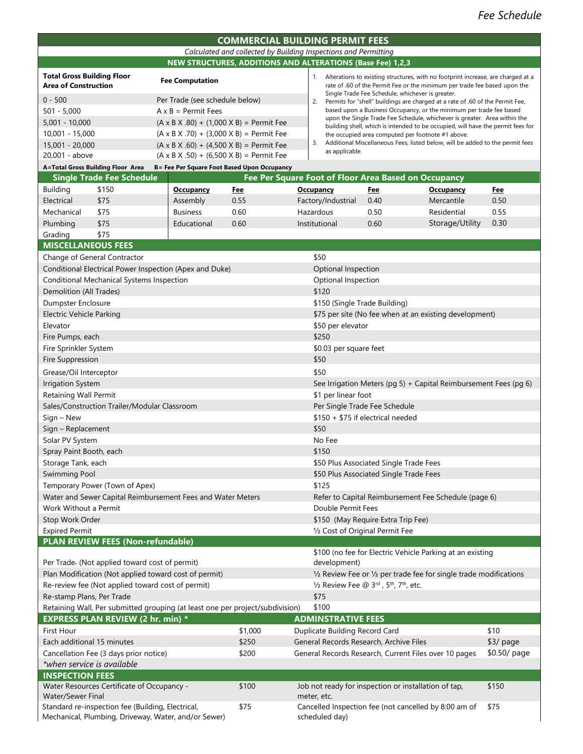| <b>COMMERCIAL BUILDING PERMIT FEES</b>                          |                        |                                                                                                                                                               |  |  |
|-----------------------------------------------------------------|------------------------|---------------------------------------------------------------------------------------------------------------------------------------------------------------|--|--|
| Calculated and collected by Building Inspections and Permitting |                        |                                                                                                                                                               |  |  |
| NEW STRUCTURES, ADDITIONS AND ALTERATIONS (Base Fee) 1,2,3      |                        |                                                                                                                                                               |  |  |
| Total Gross Building Floor<br>Area of Construction              | <b>Fee Computation</b> | Alterations to existing structures, with no footprint increase, are charged at a<br>rate of .60 of the Permit Fee or the minimum per trade fee based upon the |  |  |

as applicable.

| <b>Area of Construction</b> | <b>I CC COMPUTATION</b>                                   |
|-----------------------------|-----------------------------------------------------------|
| $0 - 500$                   | Per Trade (see schedule below)                            |
| $501 - 5,000$               | $A \times B =$ Permit Fees                                |
| $5,001 - 10,000$            | $(A \times B \times .80) + (1,000 \times B) =$ Permit Fee |
| 10,001 - 15,000             | $(A \times B \times .70) + (3,000 \times B) =$ Permit Fee |
| 15,001 - 20,000             | $(A \times B \times .60) + (4,500 \times B) =$ Permit Fee |
| 20,001 - above              | $(A \times B \times .50) + (6,500 \times B) =$ Permit Fee |

|    | Single Trade Fee Schedule, whichever is greater.                                |
|----|---------------------------------------------------------------------------------|
| 2. | Permits for "shell" buildings are charged at a rate of .60 of the Permit Fee.   |
|    | based upon a Business Occupancy, or the minimum per trade fee based             |
|    | upon the Single Trade Fee Schedule, whichever is greater. Area within the       |
|    | building shell, which is intended to be occupied, will have the permit fees for |
|    | the occupied area computed per footnote #1 above.                               |

3. Additional Miscellaneous Fees, listed below, will be added to the permit fees

#### **A=Total Gross Building Floor Area B= Fee Per Square Foot Based Upon Occupancy**

|                 | <b>Single Trade Fee Schedule</b> | Fee Per Square Foot of Floor Area Based on Occupancy |            |                    |            |                  |            |
|-----------------|----------------------------------|------------------------------------------------------|------------|--------------------|------------|------------------|------------|
| <b>Building</b> | \$150                            | <b>Occupancy</b>                                     | <u>Fee</u> | <b>Occupancy</b>   | <u>Fee</u> | <b>Occupancy</b> | <b>Fee</b> |
| Electrical      | \$75                             | Assembly                                             | 0.55       | Factory/Industrial | 0.40       | Mercantile       | 0.50       |
| Mechanical      | \$75                             | <b>Business</b>                                      | 0.60       | Hazardous          | 0.50       | Residential      | 0.55       |
| Plumbing        | \$75                             | Educational                                          | 0.60       | Institutional      | 0.60       | Storage/Utility  | 0.30       |

#### Grading \$75 **MISCELLANEOUS FEES**

| <b>IVIISCELLAINEUUS FEES</b>                                                                              |                                                      |                                                                         |                                                                    |  |  |
|-----------------------------------------------------------------------------------------------------------|------------------------------------------------------|-------------------------------------------------------------------------|--------------------------------------------------------------------|--|--|
| Change of General Contractor                                                                              |                                                      | \$50                                                                    |                                                                    |  |  |
| Conditional Electrical Power Inspection (Apex and Duke)                                                   | Optional Inspection                                  |                                                                         |                                                                    |  |  |
| Conditional Mechanical Systems Inspection                                                                 | Optional Inspection                                  |                                                                         |                                                                    |  |  |
| Demolition (All Trades)                                                                                   | \$120                                                |                                                                         |                                                                    |  |  |
| Dumpster Enclosure                                                                                        | \$150 (Single Trade Building)                        |                                                                         |                                                                    |  |  |
| Electric Vehicle Parking                                                                                  |                                                      | \$75 per site (No fee when at an existing development)                  |                                                                    |  |  |
| Elevator                                                                                                  | \$50 per elevator                                    |                                                                         |                                                                    |  |  |
| Fire Pumps, each                                                                                          |                                                      | \$250                                                                   |                                                                    |  |  |
| Fire Sprinkler System                                                                                     |                                                      | \$0.03 per square feet                                                  |                                                                    |  |  |
| Fire Suppression                                                                                          |                                                      | \$50                                                                    |                                                                    |  |  |
| Grease/Oil Interceptor                                                                                    |                                                      | \$50                                                                    |                                                                    |  |  |
| <b>Irrigation System</b>                                                                                  |                                                      | See Irrigation Meters (pg 5) + Capital Reimbursement Fees (pg 6)        |                                                                    |  |  |
| Retaining Wall Permit                                                                                     |                                                      | \$1 per linear foot                                                     |                                                                    |  |  |
| Sales/Construction Trailer/Modular Classroom                                                              |                                                      | Per Single Trade Fee Schedule                                           |                                                                    |  |  |
| Sign - New                                                                                                |                                                      | \$150 + \$75 if electrical needed                                       |                                                                    |  |  |
| Sign - Replacement                                                                                        |                                                      | \$50                                                                    |                                                                    |  |  |
| Solar PV System                                                                                           |                                                      | No Fee                                                                  |                                                                    |  |  |
| Spray Paint Booth, each                                                                                   |                                                      | \$150                                                                   |                                                                    |  |  |
| Storage Tank, each                                                                                        |                                                      | \$50 Plus Associated Single Trade Fees                                  |                                                                    |  |  |
| Swimming Pool                                                                                             |                                                      | \$50 Plus Associated Single Trade Fees                                  |                                                                    |  |  |
| Temporary Power (Town of Apex)                                                                            |                                                      | \$125                                                                   |                                                                    |  |  |
| Water and Sewer Capital Reimbursement Fees and Water Meters                                               | Refer to Capital Reimbursement Fee Schedule (page 6) |                                                                         |                                                                    |  |  |
| Work Without a Permit                                                                                     | Double Permit Fees                                   |                                                                         |                                                                    |  |  |
| Stop Work Order                                                                                           | \$150 (May Require Extra Trip Fee)                   |                                                                         |                                                                    |  |  |
| <b>Expired Permit</b>                                                                                     | 1/2 Cost of Original Permit Fee                      |                                                                         |                                                                    |  |  |
| PLAN REVIEW FEES (Non-refundable)                                                                         |                                                      |                                                                         |                                                                    |  |  |
|                                                                                                           |                                                      | \$100 (no fee for Electric Vehicle Parking at an existing               |                                                                    |  |  |
| Per Trade- (Not applied toward cost of permit)                                                            |                                                      | development)                                                            |                                                                    |  |  |
| Plan Modification (Not applied toward cost of permit)                                                     |                                                      |                                                                         | 1/2 Review Fee or 1/2 per trade fee for single trade modifications |  |  |
| Re-review fee (Not applied toward cost of permit)                                                         |                                                      | 1/2 Review Fee @ 3rd, 5th, 7th, etc.                                    |                                                                    |  |  |
| Re-stamp Plans, Per Trade                                                                                 |                                                      | \$75                                                                    |                                                                    |  |  |
| Retaining Wall, Per submitted grouping (at least one per project/subdivision)                             |                                                      | \$100                                                                   |                                                                    |  |  |
| <b>EXPRESS PLAN REVIEW (2 hr. min) *</b>                                                                  |                                                      | <b>ADMINSTRATIVE FEES</b>                                               |                                                                    |  |  |
| <b>First Hour</b>                                                                                         | \$1,000                                              | Duplicate Building Record Card                                          | \$10                                                               |  |  |
| Each additional 15 minutes                                                                                | \$250                                                | General Records Research, Archive Files                                 | \$3/ page                                                          |  |  |
| Cancellation Fee (3 days prior notice)                                                                    | \$200                                                | General Records Research, Current Files over 10 pages                   | \$0.50/ page                                                       |  |  |
| *when service is available                                                                                |                                                      |                                                                         |                                                                    |  |  |
| <b>INSPECTION FEES</b>                                                                                    |                                                      |                                                                         |                                                                    |  |  |
| Water Resources Certificate of Occupancy -                                                                | \$100                                                | Job not ready for inspection or installation of tap,                    | \$150                                                              |  |  |
| Water/Sewer Final                                                                                         |                                                      | meter, etc.                                                             |                                                                    |  |  |
| Standard re-inspection fee (Building, Electrical,<br>Mechanical, Plumbing, Driveway, Water, and/or Sewer) | \$75                                                 | Cancelled Inspection fee (not cancelled by 8:00 am of<br>scheduled day) | \$75                                                               |  |  |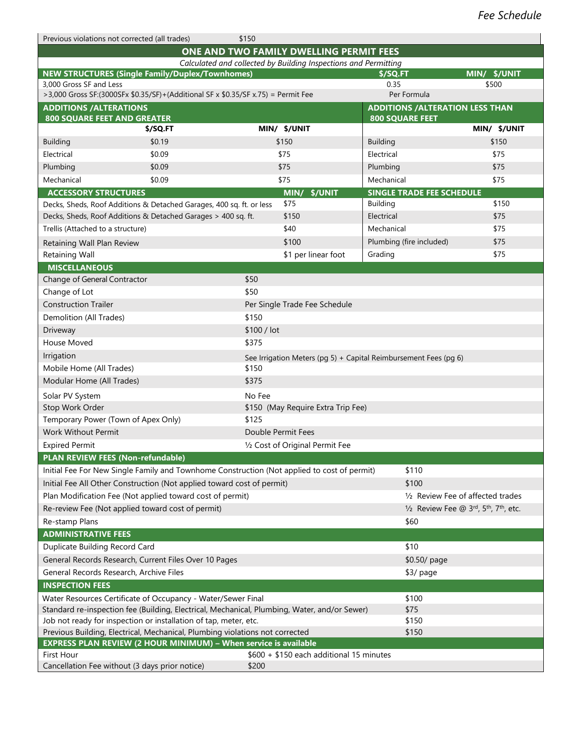| \$150 |
|-------|
|-------|

|                                                                                              |                                                                                                                                                  |        | ONE AND TWO FAMILY DWELLING PERMIT FEES                         |                                  |                                         |
|----------------------------------------------------------------------------------------------|--------------------------------------------------------------------------------------------------------------------------------------------------|--------|-----------------------------------------------------------------|----------------------------------|-----------------------------------------|
|                                                                                              |                                                                                                                                                  |        | Calculated and collected by Building Inspections and Permitting |                                  |                                         |
| <b>NEW STRUCTURES (Single Family/Duplex/Townhomes)</b><br>3,000 Gross SF and Less            |                                                                                                                                                  |        |                                                                 | \$/SQ.FT                         | MIN/ \$/UNIT                            |
| >3,000 Gross SF:(3000SFx \$0.35/SF)+(Additional SF x \$0.35/SF x.75) = Permit Fee            |                                                                                                                                                  |        |                                                                 | 0.35<br>Per Formula              | \$500                                   |
| <b>ADDITIONS / ALTERATIONS</b>                                                               |                                                                                                                                                  |        |                                                                 |                                  | <b>ADDITIONS / ALTERATION LESS THAN</b> |
| <b>800 SQUARE FEET AND GREATER</b>                                                           |                                                                                                                                                  |        |                                                                 | <b>800 SQUARE FEET</b>           |                                         |
|                                                                                              | \$/SQ.FT                                                                                                                                         |        | MIN/ \$/UNIT                                                    |                                  | MIN/ \$/UNIT                            |
| <b>Building</b>                                                                              | \$0.19                                                                                                                                           |        | \$150                                                           | <b>Building</b>                  | \$150                                   |
| Electrical                                                                                   | \$0.09                                                                                                                                           |        | \$75                                                            | Electrical                       | \$75                                    |
| Plumbing                                                                                     | \$0.09                                                                                                                                           |        | \$75                                                            | Plumbing                         | \$75                                    |
| Mechanical                                                                                   | \$0.09                                                                                                                                           |        | \$75                                                            | Mechanical                       | \$75                                    |
| <b>ACCESSORY STRUCTURES</b>                                                                  |                                                                                                                                                  |        | MIN/ \$/UNIT                                                    | <b>SINGLE TRADE FEE SCHEDULE</b> |                                         |
|                                                                                              | Decks, Sheds, Roof Additions & Detached Garages, 400 sq. ft. or less                                                                             |        | \$75                                                            | <b>Building</b>                  | \$150                                   |
|                                                                                              | Decks, Sheds, Roof Additions & Detached Garages > 400 sq. ft.                                                                                    |        | \$150                                                           | Electrical                       | \$75                                    |
| Trellis (Attached to a structure)                                                            |                                                                                                                                                  |        | \$40                                                            | Mechanical                       | \$75                                    |
| Retaining Wall Plan Review                                                                   |                                                                                                                                                  |        | \$100                                                           | Plumbing (fire included)         | \$75                                    |
| Retaining Wall                                                                               |                                                                                                                                                  |        | \$1 per linear foot                                             | Grading                          | \$75                                    |
| <b>MISCELLANEOUS</b>                                                                         |                                                                                                                                                  |        |                                                                 |                                  |                                         |
| Change of General Contractor                                                                 |                                                                                                                                                  | \$50   |                                                                 |                                  |                                         |
| Change of Lot                                                                                |                                                                                                                                                  | \$50   |                                                                 |                                  |                                         |
| <b>Construction Trailer</b>                                                                  |                                                                                                                                                  |        | Per Single Trade Fee Schedule                                   |                                  |                                         |
| Demolition (All Trades)                                                                      |                                                                                                                                                  | \$150  |                                                                 |                                  |                                         |
| Driveway<br>\$100 / lot                                                                      |                                                                                                                                                  |        |                                                                 |                                  |                                         |
| House Moved<br>\$375                                                                         |                                                                                                                                                  |        |                                                                 |                                  |                                         |
| Irrigation<br>See Irrigation Meters (pg 5) + Capital Reimbursement Fees (pg 6)               |                                                                                                                                                  |        |                                                                 |                                  |                                         |
| Mobile Home (All Trades)<br>\$150                                                            |                                                                                                                                                  |        |                                                                 |                                  |                                         |
| Modular Home (All Trades)<br>\$375                                                           |                                                                                                                                                  |        |                                                                 |                                  |                                         |
| Solar PV System                                                                              |                                                                                                                                                  | No Fee |                                                                 |                                  |                                         |
| Stop Work Order                                                                              |                                                                                                                                                  |        | \$150 (May Require Extra Trip Fee)                              |                                  |                                         |
|                                                                                              | Temporary Power (Town of Apex Only)                                                                                                              | \$125  |                                                                 |                                  |                                         |
| <b>Work Without Permit</b>                                                                   |                                                                                                                                                  |        | Double Permit Fees                                              |                                  |                                         |
| <b>Expired Permit</b>                                                                        |                                                                                                                                                  |        | 1/2 Cost of Original Permit Fee                                 |                                  |                                         |
|                                                                                              | PLAN REVIEW FEES (Non-refundable)                                                                                                                |        |                                                                 |                                  |                                         |
|                                                                                              | Initial Fee For New Single Family and Townhome Construction (Not applied to cost of permit)                                                      |        |                                                                 | \$110                            |                                         |
|                                                                                              | Initial Fee All Other Construction (Not applied toward cost of permit)                                                                           |        |                                                                 | \$100                            |                                         |
|                                                                                              | Plan Modification Fee (Not applied toward cost of permit)                                                                                        |        |                                                                 |                                  | 1/2 Review Fee of affected trades       |
|                                                                                              | Re-review Fee (Not applied toward cost of permit)                                                                                                |        |                                                                 |                                  | 1/2 Review Fee @ 3rd, 5th, 7th, etc.    |
| Re-stamp Plans                                                                               |                                                                                                                                                  |        |                                                                 | \$60                             |                                         |
| <b>ADMINISTRATIVE FEES</b>                                                                   |                                                                                                                                                  |        |                                                                 |                                  |                                         |
| Duplicate Building Record Card                                                               |                                                                                                                                                  |        |                                                                 | \$10                             |                                         |
| General Records Research, Current Files Over 10 Pages                                        |                                                                                                                                                  |        |                                                                 |                                  | \$0.50/ page                            |
| General Records Research, Archive Files<br>\$3/ page                                         |                                                                                                                                                  |        |                                                                 |                                  |                                         |
| <b>INSPECTION FEES</b>                                                                       |                                                                                                                                                  |        |                                                                 |                                  |                                         |
| Water Resources Certificate of Occupancy - Water/Sewer Final                                 |                                                                                                                                                  |        | \$100                                                           |                                  |                                         |
| Standard re-inspection fee (Building, Electrical, Mechanical, Plumbing, Water, and/or Sewer) |                                                                                                                                                  |        |                                                                 | \$75                             |                                         |
|                                                                                              | Job not ready for inspection or installation of tap, meter, etc.                                                                                 |        |                                                                 | \$150<br>\$150                   |                                         |
|                                                                                              | Previous Building, Electrical, Mechanical, Plumbing violations not corrected<br>EXPRESS PLAN REVIEW (2 HOUR MINIMUM) - When service is available |        |                                                                 |                                  |                                         |
| First Hour                                                                                   |                                                                                                                                                  |        | $$600 + $150$ each additional 15 minutes                        |                                  |                                         |
|                                                                                              | Cancellation Fee without (3 days prior notice)                                                                                                   | \$200  |                                                                 |                                  |                                         |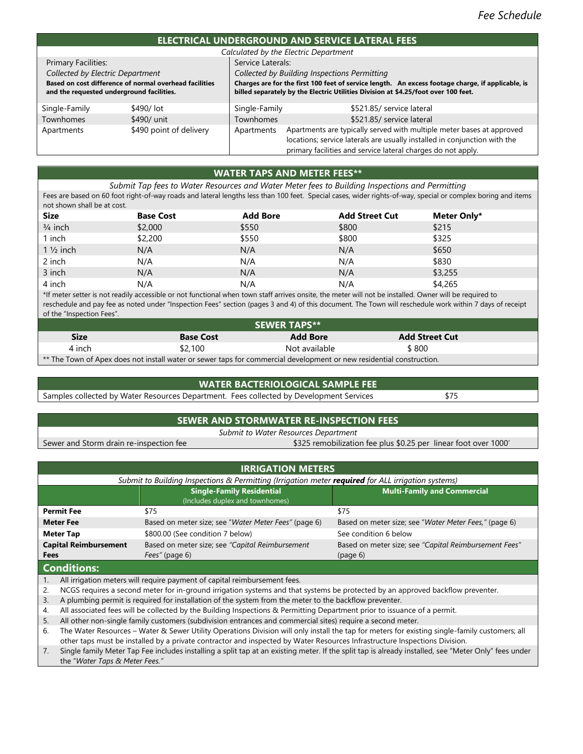### **ELECTRICAL UNDERGROUND AND SERVICE LATERAL FEES**

| EECHNCAL UNDERGROUND AND DERVICE EATERAL TED                 |                         |                                                                                    |                                                                                                   |  |  |  |
|--------------------------------------------------------------|-------------------------|------------------------------------------------------------------------------------|---------------------------------------------------------------------------------------------------|--|--|--|
|                                                              |                         |                                                                                    | Calculated by the Electric Department                                                             |  |  |  |
| Service Laterals:<br><b>Primary Facilities:</b>              |                         |                                                                                    |                                                                                                   |  |  |  |
| Collected by Electric Department                             |                         |                                                                                    | Collected by Building Inspections Permitting                                                      |  |  |  |
| Based on cost difference of normal overhead facilities       |                         |                                                                                    | Charges are for the first 100 feet of service length. An excess footage charge, if applicable, is |  |  |  |
| and the requested underground facilities.                    |                         | billed separately by the Electric Utilities Division at \$4.25/foot over 100 feet. |                                                                                                   |  |  |  |
| Single-Family                                                | \$490/lot               | Single-Family                                                                      | \$521.85/ service lateral                                                                         |  |  |  |
| <b>Townhomes</b>                                             | \$490/ unit             | \$521.85/ service lateral<br>Townhomes                                             |                                                                                                   |  |  |  |
| Apartments                                                   | \$490 point of delivery | Apartments                                                                         | Apartments are typically served with multiple meter bases at approved                             |  |  |  |
|                                                              |                         | locations; service laterals are usually installed in conjunction with the          |                                                                                                   |  |  |  |
| primary facilities and service lateral charges do not apply. |                         |                                                                                    |                                                                                                   |  |  |  |

## **WATER TAPS AND METER FEES\*\***

*Submit Tap fees to Water Resources and Water Meter fees to Building Inspections and Permitting* Fees are based on 60 foot right-of-way roads and lateral lengths less than 100 feet. Special cases, wider rights-of-way, special or complex boring and items not shown shall be at cost.

| <b>Size</b>         | <b>Base Cost</b> | <b>Add Bore</b> | <b>Add Street Cut</b> | Meter Only* |
|---------------------|------------------|-----------------|-----------------------|-------------|
| $3/4$ inch          | \$2,000          | \$550           | \$800                 | \$215       |
| l inch              | \$2,200          | \$550           | \$800                 | \$325       |
| $1\frac{1}{2}$ inch | N/A              | N/A             | N/A                   | \$650       |
| 2 inch              | N/A              | N/A             | N/A                   | \$830       |
| 3 inch              | N/A              | N/A             | N/A                   | \$3,255     |
| 4 inch              | N/A              | N/A             | N/A                   | \$4,265     |

\*If meter setter is not readily accessible or not functional when town staff arrives onsite, the meter will not be installed. Owner will be required to reschedule and pay fee as noted under "Inspection Fees" section (pages 3 and 4) of this document. The Town will reschedule work within 7 days of receipt of the "Inspection Fees".

| <b>SEWER TAPS**</b>                                                                                                  |                  |                 |                       |  |  |  |
|----------------------------------------------------------------------------------------------------------------------|------------------|-----------------|-----------------------|--|--|--|
| <b>Size</b>                                                                                                          | <b>Base Cost</b> | <b>Add Bore</b> | <b>Add Street Cut</b> |  |  |  |
| 4 inch                                                                                                               | \$2,100          | Not available   | \$800                 |  |  |  |
| ** The Town of Apex does not install water or sewer taps for commercial development or new residential construction. |                  |                 |                       |  |  |  |

#### **WATER BACTERIOLOGICAL SAMPLE FEE**

Samples collected by Water Resources Department. Fees collected by Development Services\$75

### **SEWER AND STORMWATER RE-INSPECTION FEES**

*Submit to Water Resources Department*

Sewer and Storm drain re-inspection fee  $$325$  remobilization fee plus \$0.25 per linear foot over 1000'

|                                      | <b>IRRIGATION METERS</b>                                                                                                              |                                                                                                        |                                                                   |  |  |  |  |  |
|--------------------------------------|---------------------------------------------------------------------------------------------------------------------------------------|--------------------------------------------------------------------------------------------------------|-------------------------------------------------------------------|--|--|--|--|--|
|                                      | Submit to Building Inspections & Permitting (Irrigation meter required for ALL irrigation systems)                                    |                                                                                                        |                                                                   |  |  |  |  |  |
|                                      |                                                                                                                                       | <b>Single-Family Residential</b><br>(Includes duplex and townhomes)                                    | <b>Multi-Family and Commercial</b>                                |  |  |  |  |  |
|                                      | <b>Permit Fee</b>                                                                                                                     | \$75                                                                                                   | \$75                                                              |  |  |  |  |  |
|                                      | <b>Meter Fee</b>                                                                                                                      | Based on meter size; see "Water Meter Fees" (page 6)                                                   | Based on meter size; see "Water Meter Fees," (page 6)             |  |  |  |  |  |
|                                      | <b>Meter Tap</b>                                                                                                                      | \$800.00 (See condition 7 below)                                                                       | See condition 6 below                                             |  |  |  |  |  |
| <b>Capital Reimbursement</b><br>Fees |                                                                                                                                       | Based on meter size; see "Capital Reimbursement<br>Fees" (page 6)                                      | Based on meter size; see "Capital Reimbursement Fees"<br>(page 6) |  |  |  |  |  |
| <b>Conditions:</b>                   |                                                                                                                                       |                                                                                                        |                                                                   |  |  |  |  |  |
|                                      | All irrigation meters will require payment of capital reimbursement fees.                                                             |                                                                                                        |                                                                   |  |  |  |  |  |
| 2.                                   | NCGS requires a second meter for in-ground irrigation systems and that systems be protected by an approved backflow preventer.        |                                                                                                        |                                                                   |  |  |  |  |  |
| 3.                                   |                                                                                                                                       | A plumbing permit is required for installation of the system from the meter to the backflow preventer. |                                                                   |  |  |  |  |  |
|                                      | All coordinated from will be realized the deal Building to be rating to Bennetting Bennament and rate to see the community of a model |                                                                                                        |                                                                   |  |  |  |  |  |

4. All associated fees will be collected by the Building Inspections & Permitting Department prior to issuance of a permit.

5. All other non-single family customers (subdivision entrances and commercial sites) require a second meter.

6. The Water Resources – Water & Sewer Utility Operations Division will only install the tap for meters for existing single-family customers; all other taps must be installed by a private contractor and inspected by Water Resources Infrastructure Inspections Division.

7. Single family Meter Tap Fee includes installing a split tap at an existing meter. If the split tap is already installed, see "Meter Only" fees under the "*Water Taps & Meter Fees."*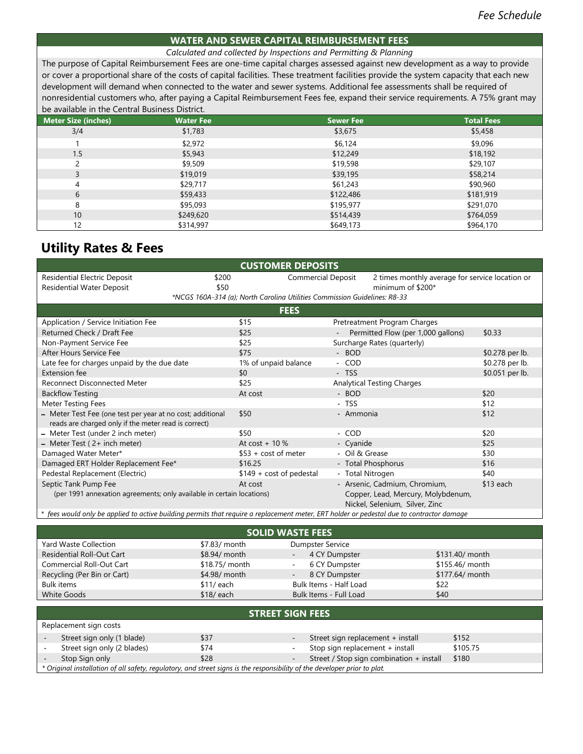#### **WATER AND SEWER CAPITAL REIMBURSEMENT FEES**

#### *Calculated and collected by Inspections and Permitting & Planning*

The purpose of Capital Reimbursement Fees are one-time capital charges assessed against new development as a way to provide or cover a proportional share of the costs of capital facilities. These treatment facilities provide the system capacity that each new development will demand when connected to the water and sewer systems. Additional fee assessments shall be required of nonresidential customers who, after paying a Capital Reimbursement Fees fee, expand their service requirements. A 75% grant may be available in the Central Business District.

| <b>Meter Size (inches)</b> | <b>Water Fee</b> | <b>Sewer Fee</b> | <b>Total Fees</b> |
|----------------------------|------------------|------------------|-------------------|
| 3/4                        | \$1,783          | \$3,675          | \$5,458           |
|                            | \$2,972          | \$6,124          | \$9,096           |
| 1.5                        | \$5,943          | \$12,249         | \$18,192          |
|                            | \$9,509          | \$19,598         | \$29,107          |
| 3                          | \$19,019         | \$39,195         | \$58,214          |
| 4                          | \$29,717         | \$61,243         | \$90,960          |
| 6                          | \$59,433         | \$122,486        | \$181,919         |
| 8                          | \$95,093         | \$195,977        | \$291,070         |
| 10 <sup>°</sup>            | \$249,620        | \$514,439        | \$764,059         |
| 12                         | \$314,997        | \$649,173        | \$964,170         |

## **Utility Rates & Fees**

| <b>CUSTOMER DEPOSITS</b>                                                                                                                  |                                                                           |                  |                                                 |                 |  |
|-------------------------------------------------------------------------------------------------------------------------------------------|---------------------------------------------------------------------------|------------------|-------------------------------------------------|-----------------|--|
| <b>Residential Electric Deposit</b><br>\$200                                                                                              | <b>Commercial Deposit</b>                                                 |                  | 2 times monthly average for service location or |                 |  |
| <b>Residential Water Deposit</b><br>\$50                                                                                                  |                                                                           |                  | minimum of \$200*                               |                 |  |
|                                                                                                                                           | *NCGS 160A-314 (a); North Carolina Utilities Commission Guidelines: R8-33 |                  |                                                 |                 |  |
|                                                                                                                                           | <b>FEES</b>                                                               |                  |                                                 |                 |  |
| Application / Service Initiation Fee                                                                                                      | \$15                                                                      |                  | Pretreatment Program Charges                    |                 |  |
| Returned Check / Draft Fee                                                                                                                | \$25                                                                      |                  | Permitted Flow (per 1,000 gallons)              | \$0.33          |  |
| Non-Payment Service Fee                                                                                                                   | \$25                                                                      |                  | Surcharge Rates (quarterly)                     |                 |  |
| After Hours Service Fee                                                                                                                   | \$75                                                                      | - BOD            |                                                 | \$0.278 per lb. |  |
| Late fee for charges unpaid by the due date                                                                                               | 1% of unpaid balance                                                      | - COD            |                                                 | \$0.278 per lb. |  |
| Extension fee                                                                                                                             | \$0                                                                       | - TSS            |                                                 | \$0.051 per lb. |  |
| <b>Reconnect Disconnected Meter</b>                                                                                                       | \$25                                                                      |                  | <b>Analytical Testing Charges</b>               |                 |  |
| <b>Backflow Testing</b>                                                                                                                   | At cost                                                                   | - BOD            |                                                 | \$20            |  |
| <b>Meter Testing Fees</b>                                                                                                                 |                                                                           | - TSS            |                                                 | \$12            |  |
| - Meter Test Fee (one test per year at no cost; additional                                                                                | \$50                                                                      | - Ammonia        |                                                 | \$12            |  |
| reads are charged only if the meter read is correct)                                                                                      |                                                                           |                  |                                                 |                 |  |
| - Meter Test (under 2 inch meter)                                                                                                         | \$50                                                                      | - COD            |                                                 | \$20            |  |
| - Meter Test (2+ inch meter)                                                                                                              | At $cost + 10\%$                                                          | - Cyanide        |                                                 | \$25            |  |
| Damaged Water Meter*                                                                                                                      | $$53 + cost of meter$                                                     | - Oil & Grease   |                                                 | \$30            |  |
| Damaged ERT Holder Replacement Fee*                                                                                                       | \$16.25                                                                   |                  | - Total Phosphorus                              | \$16            |  |
| Pedestal Replacement (Electric)                                                                                                           | $$149 + cost of pedestal$                                                 | - Total Nitrogen |                                                 | \$40            |  |
| Septic Tank Pump Fee                                                                                                                      | At cost                                                                   |                  | - Arsenic, Cadmium, Chromium,                   | \$13 each       |  |
| (per 1991 annexation agreements; only available in certain locations)                                                                     |                                                                           |                  | Copper, Lead, Mercury, Molybdenum,              |                 |  |
|                                                                                                                                           |                                                                           |                  | Nickel, Selenium, Silver, Zinc                  |                 |  |
| * fees would only be applied to active building permits that require a replacement meter, ERT holder or pedestal due to contractor damage |                                                                           |                  |                                                 |                 |  |
|                                                                                                                                           |                                                                           |                  |                                                 |                 |  |

|                   | <b>SOLID WASTE FEES</b>         |                         |                          |                                          |      |                 |
|-------------------|---------------------------------|-------------------------|--------------------------|------------------------------------------|------|-----------------|
|                   | <b>Yard Waste Collection</b>    | \$7.83/ month           |                          | Dumpster Service                         |      |                 |
|                   | Residential Roll-Out Cart       | \$8.94/ month           | $\sim$                   | 4 CY Dumpster                            |      | \$131.40/ month |
|                   | <b>Commercial Roll-Out Cart</b> | \$18.75/ month          | $\sim$                   | 6 CY Dumpster                            |      | \$155.46/ month |
|                   | Recycling (Per Bin or Cart)     | \$4.98/ month           | $\sim$                   | 8 CY Dumpster                            |      | \$177.64/ month |
| <b>Bulk items</b> |                                 | $$11/$ each             |                          | Bulk Items - Half Load                   | \$22 |                 |
| White Goods       |                                 | $$18/$ each             |                          | Bulk Items - Full Load                   | \$40 |                 |
|                   |                                 |                         |                          |                                          |      |                 |
|                   |                                 | <b>STREET SIGN FEES</b> |                          |                                          |      |                 |
|                   | Replacement sign costs          |                         |                          |                                          |      |                 |
|                   | Street sign only (1 blade)      | \$37                    |                          | Street sign replacement + install        |      | \$152           |
|                   | Street sign only (2 blades)     | \$74                    | $\overline{\phantom{a}}$ | Stop sign replacement + install          |      | \$105.75        |
|                   | Stop Sign only                  | \$28                    | $\overline{\phantom{a}}$ | Street / Stop sign combination + install |      | \$180           |
|                   |                                 |                         |                          |                                          |      |                 |

*\* Original installation of all safety, regulatory, and street signs is the responsibility of the developer prior to plat.*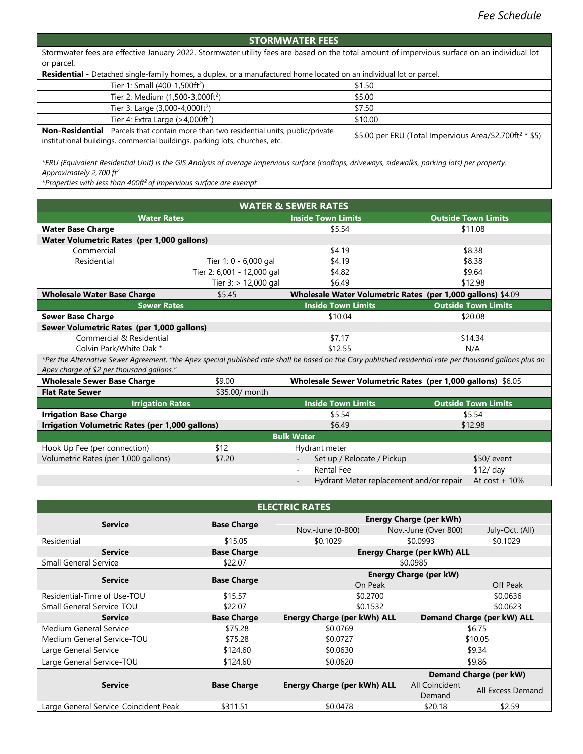## **STORMWATER FEES**

Stormwater fees are effective January 2022. Stormwater utility fees are based on the total amount of impervious surface on an individual lot or parcel.

| Residential - Detached single-family homes, a duplex, or a manufactured home located on an individual lot or parcel.                                                  |                                                                     |  |  |  |  |
|-----------------------------------------------------------------------------------------------------------------------------------------------------------------------|---------------------------------------------------------------------|--|--|--|--|
| Tier 1: Small (400-1,500ft <sup>2</sup> )                                                                                                                             | \$1.50                                                              |  |  |  |  |
| Tier 2: Medium (1,500-3,000ft <sup>2</sup> )                                                                                                                          | \$5.00                                                              |  |  |  |  |
| Tier 3: Large (3,000-4,000ft <sup>2</sup> )                                                                                                                           | \$7.50                                                              |  |  |  |  |
| Tier 4: Extra Large $(>4,000ft^2)$                                                                                                                                    | \$10.00                                                             |  |  |  |  |
| Non-Residential - Parcels that contain more than two residential units, public/private<br>institutional buildings, commercial buildings, parking lots, churches, etc. | \$5.00 per ERU (Total Impervious Area/\$2,700ft <sup>2</sup> * \$5) |  |  |  |  |
|                                                                                                                                                                       |                                                                     |  |  |  |  |

*\*ERU (Equivalent Residential Unit) is the GIS Analysis of average impervious surface (rooftops, driveways, sidewalks, parking lots) per property. Approximately 2,700 ft2.*

*\*Properties with less than 400ft<sup>2</sup>of impervious surface are exempt.*

| <b>WATER &amp; SEWER RATES</b>                         |                            |                                                                     |                                                                                                                                                           |  |  |  |
|--------------------------------------------------------|----------------------------|---------------------------------------------------------------------|-----------------------------------------------------------------------------------------------------------------------------------------------------------|--|--|--|
| <b>Water Rates</b>                                     |                            | <b>Inside Town Limits</b>                                           | <b>Outside Town Limits</b>                                                                                                                                |  |  |  |
| <b>Water Base Charge</b>                               |                            | \$5.54                                                              | \$11.08                                                                                                                                                   |  |  |  |
| Water Volumetric Rates (per 1,000 gallons)             |                            |                                                                     |                                                                                                                                                           |  |  |  |
| Commercial                                             |                            | \$4.19                                                              | \$8.38                                                                                                                                                    |  |  |  |
| Residential                                            | Tier 1: 0 - 6,000 gal      | \$4.19                                                              | \$8.38                                                                                                                                                    |  |  |  |
|                                                        | Tier 2: 6,001 - 12,000 gal | \$4.82                                                              | \$9.64                                                                                                                                                    |  |  |  |
|                                                        | Tier 3: > 12,000 gal       | \$6.49                                                              | \$12.98                                                                                                                                                   |  |  |  |
| <b>Wholesale Water Base Charge</b>                     | \$5.45                     |                                                                     | Wholesale Water Volumetric Rates (per 1,000 gallons) \$4.09                                                                                               |  |  |  |
| <b>Sewer Rates</b>                                     |                            | <b>Inside Town Limits</b>                                           | <b>Outside Town Limits</b>                                                                                                                                |  |  |  |
| <b>Sewer Base Charge</b>                               |                            | \$10.04                                                             | \$20.08                                                                                                                                                   |  |  |  |
| Sewer Volumetric Rates (per 1,000 gallons)             |                            |                                                                     |                                                                                                                                                           |  |  |  |
| Commercial & Residential                               |                            | \$7.17                                                              | \$14.34                                                                                                                                                   |  |  |  |
| Colvin Park/White Oak *                                |                            | \$12.55                                                             | N/A                                                                                                                                                       |  |  |  |
|                                                        |                            |                                                                     | *Per the Alternative Sewer Agreement, "the Apex special published rate shall be based on the Cary published residential rate per thousand gallons plus an |  |  |  |
| Apex charge of \$2 per thousand gallons."              |                            |                                                                     |                                                                                                                                                           |  |  |  |
| <b>Wholesale Sewer Base Charge</b>                     | \$9.00                     |                                                                     | Wholesale Sewer Volumetric Rates (per 1,000 gallons) \$6.05                                                                                               |  |  |  |
| <b>Flat Rate Sewer</b>                                 | \$35.00/ month             |                                                                     |                                                                                                                                                           |  |  |  |
| <b>Irrigation Rates</b>                                |                            | <b>Inside Town Limits</b>                                           | <b>Outside Town Limits</b>                                                                                                                                |  |  |  |
| <b>Irrigation Base Charge</b>                          |                            | \$5.54                                                              | \$5.54                                                                                                                                                    |  |  |  |
| <b>Irrigation Volumetric Rates (per 1,000 gallons)</b> |                            | \$6.49                                                              | \$12.98                                                                                                                                                   |  |  |  |
|                                                        |                            | <b>Bulk Water</b>                                                   |                                                                                                                                                           |  |  |  |
| Hook Up Fee (per connection)                           | \$12                       | Hydrant meter                                                       |                                                                                                                                                           |  |  |  |
| Volumetric Rates (per 1,000 gallons)                   | \$7.20                     | Set up / Relocate / Pickup                                          | \$50/ event                                                                                                                                               |  |  |  |
|                                                        |                            | <b>Rental Fee</b>                                                   | \$12/ day                                                                                                                                                 |  |  |  |
|                                                        |                            | Hydrant Meter replacement and/or repair<br>$\overline{\phantom{a}}$ | At $cost + 10\%$                                                                                                                                          |  |  |  |

| <b>ELECTRIC RATES</b>                 |                    |                                |                                    |                            |  |  |
|---------------------------------------|--------------------|--------------------------------|------------------------------------|----------------------------|--|--|
| <b>Service</b>                        | <b>Base Charge</b> | <b>Energy Charge (per kWh)</b> |                                    |                            |  |  |
|                                       |                    | Nov.-June (0-800)              | Nov.-June (Over 800)               | July-Oct. (All)            |  |  |
| Residential                           | \$15.05            | \$0.1029                       | \$0.0993                           | \$0.1029                   |  |  |
| <b>Service</b>                        | <b>Base Charge</b> |                                | <b>Energy Charge (per kWh) ALL</b> |                            |  |  |
| <b>Small General Service</b>          | \$22.07            |                                | \$0.0985                           |                            |  |  |
| <b>Service</b>                        |                    |                                | <b>Energy Charge (per kW)</b>      |                            |  |  |
|                                       | <b>Base Charge</b> | On Peak                        |                                    | Off Peak                   |  |  |
| Residential-Time of Use-TOU           | \$15.57            | \$0.2700                       | \$0.0636                           |                            |  |  |
| <b>Small General Service-TOU</b>      | \$22.07            | \$0.1532                       | \$0.0623                           |                            |  |  |
| <b>Service</b>                        | <b>Base Charge</b> | Energy Charge (per kWh) ALL    |                                    | Demand Charge (per kW) ALL |  |  |
| Medium General Service                | \$75.28            | \$0.0769                       |                                    | \$6.75                     |  |  |
| Medium General Service-TOU            | \$75.28            | \$0.0727<br>\$10.05            |                                    |                            |  |  |
| Large General Service                 | \$124.60           | \$9.34<br>\$0.0630             |                                    |                            |  |  |
| Large General Service-TOU             | \$124.60           | \$9.86<br>\$0.0620             |                                    |                            |  |  |
|                                       |                    |                                |                                    | Demand Charge (per kW)     |  |  |
| <b>Service</b>                        | <b>Base Charge</b> | Energy Charge (per kWh) ALL    | All Coincident<br>Demand           | All Excess Demand          |  |  |
| Large General Service-Coincident Peak | \$311.51           | \$0.0478                       | \$20.18                            | \$2.59                     |  |  |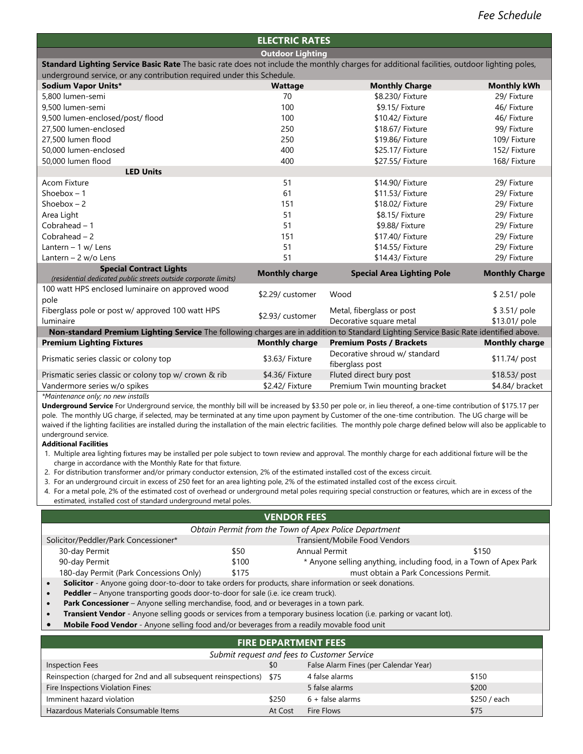### **ELECTRIC RATES**

**Outdoor Lighting Standard Lighting Service Basic Rate** The basic rate does not include the monthly charges for additional facilities, outdoor lighting poles,

| underground service, or any contribution required under this Schedule.                                                                |                       |                                                      |                               |
|---------------------------------------------------------------------------------------------------------------------------------------|-----------------------|------------------------------------------------------|-------------------------------|
| Sodium Vapor Units*                                                                                                                   | <b>Wattage</b>        | <b>Monthly Charge</b>                                | <b>Monthly kWh</b>            |
| 5,800 lumen-semi                                                                                                                      | 70                    | \$8.230/ Fixture                                     | 29/ Fixture                   |
| 9,500 lumen-semi                                                                                                                      | 100                   | \$9.15/ Fixture                                      | 46/ Fixture                   |
| 9,500 lumen-enclosed/post/ flood                                                                                                      | 100                   | \$10.42/ Fixture                                     | 46/ Fixture                   |
| 27,500 lumen-enclosed                                                                                                                 | 250                   | \$18.67/ Fixture                                     | 99/ Fixture                   |
| 27,500 lumen flood                                                                                                                    | 250                   | \$19.86/ Fixture                                     | 109/ Fixture                  |
| 50.000 lumen-enclosed                                                                                                                 | 400                   | \$25.17/ Fixture                                     | 152/ Fixture                  |
| 50,000 lumen flood                                                                                                                    | 400                   | \$27.55/ Fixture                                     | 168/ Fixture                  |
| <b>LED Units</b>                                                                                                                      |                       |                                                      |                               |
| <b>Acom Fixture</b>                                                                                                                   | 51                    | \$14.90/ Fixture                                     | 29/ Fixture                   |
| Shoebox $-1$                                                                                                                          | 61                    | \$11.53/ Fixture                                     | 29/ Fixture                   |
| Shoebox $-2$                                                                                                                          | 151                   | \$18.02/ Fixture                                     | 29/ Fixture                   |
| Area Light                                                                                                                            | 51                    | \$8.15/ Fixture                                      | 29/ Fixture                   |
| Cobrahead $-1$                                                                                                                        | 51                    | \$9.88/ Fixture                                      | 29/ Fixture                   |
| Cobrahead $-2$                                                                                                                        | 151                   | \$17.40/ Fixture                                     | 29/ Fixture                   |
| Lantern - 1 w/ Lens                                                                                                                   | 51                    | \$14.55/ Fixture                                     | 29/ Fixture                   |
| Lantern $-2$ w/o Lens                                                                                                                 | 51                    | \$14.43/ Fixture                                     | 29/ Fixture                   |
| <b>Special Contract Lights</b><br>(residential dedicated public streets outside corporate limits)                                     | <b>Monthly charge</b> | <b>Special Area Lighting Pole</b>                    | <b>Monthly Charge</b>         |
| 100 watt HPS enclosed luminaire on approved wood<br>pole                                                                              | \$2.29/ customer      | Wood                                                 | \$2.51/ pole                  |
| Fiberglass pole or post w/ approved 100 watt HPS<br>luminaire                                                                         | \$2.93/ customer      | Metal, fiberglass or post<br>Decorative square metal | \$3.51/ pole<br>\$13.01/ pole |
| Non-standard Premium Lighting Service The following charges are in addition to Standard Lighting Service Basic Rate identified above. |                       |                                                      |                               |
| <b>Premium Lighting Fixtures</b>                                                                                                      | <b>Monthly charge</b> | <b>Premium Posts / Brackets</b>                      | <b>Monthly charge</b>         |
| Prismatic series classic or colony top                                                                                                | \$3.63/ Fixture       | Decorative shroud w/ standard<br>fiberglass post     | \$11.74/ post                 |
| Prismatic series classic or colony top w/ crown & rib                                                                                 | \$4.36/ Fixture       | Fluted direct bury post                              | \$18.53/ post                 |
| Vandermore series w/o spikes                                                                                                          | \$2.42/ Fixture       | Premium Twin mounting bracket                        | \$4.84/ bracket               |

*\*Maintenance only; no new installs*

**Underground Service** For Underground service, the monthly bill will be increased by \$3.50 per pole or, in lieu thereof, a one-time contribution of \$175.17 per pole. The monthly UG charge, if selected, may be terminated at any time upon payment by Customer of the one-time contribution. The UG charge will be waived if the lighting facilities are installed during the installation of the main electric facilities. The monthly pole charge defined below will also be applicable to underground service.

#### **Additional Facilities**

1. Multiple area lighting fixtures may be installed per pole subject to town review and approval. The monthly charge for each additional fixture will be the charge in accordance with the Monthly Rate for that fixture.

2. For distribution transformer and/or primary conductor extension, 2% of the estimated installed cost of the excess circuit.

- 3. For an underground circuit in excess of 250 feet for an area lighting pole, 2% of the estimated installed cost of the excess circuit.
- 4. For a metal pole, 2% of the estimated cost of overhead or underground metal poles requiring special construction or features, which are in excess of the estimated, installed cost of standard underground metal poles.

### **VENDOR FEES**

| Obtain Permit from the Town of Apex Police Department                                                   |  |  |  |  |  |  |
|---------------------------------------------------------------------------------------------------------|--|--|--|--|--|--|
| Transient/Mobile Food Vendors<br>Solicitor/Peddler/Park Concessioner*                                   |  |  |  |  |  |  |
| 30-day Permit<br><b>Annual Permit</b><br>\$150<br>\$50                                                  |  |  |  |  |  |  |
| 90-day Permit<br>\$100<br>* Anyone selling anything, including food, in a Town of Apex Park             |  |  |  |  |  |  |
| must obtain a Park Concessions Permit.<br>\$175<br>180-day Permit (Park Concessions Only)               |  |  |  |  |  |  |
| Solicitor - Anyone going door-to-door to take orders for products, share information or seek donations. |  |  |  |  |  |  |
| <b>Peddler</b> – Anyone transporting goods door-to-door for sale (i.e. ice cream truck).                |  |  |  |  |  |  |
|                                                                                                         |  |  |  |  |  |  |

- **Park Concessioner** Anyone selling merchandise, food, and or beverages in a town park.
- **Transient Vendor** Anyone selling goods or services from a temporary business location (i.e. parking or vacant lot).
- **Mobile Food Vendor** Anyone selling food and/or beverages from a readily movable food unit

| <b>FIRE DEPARTMENT FEES</b>                                          |         |                                       |              |  |  |
|----------------------------------------------------------------------|---------|---------------------------------------|--------------|--|--|
| Submit request and fees to Customer Service                          |         |                                       |              |  |  |
| <b>Inspection Fees</b>                                               | \$0     | False Alarm Fines (per Calendar Year) |              |  |  |
| Reinspection (charged for 2nd and all subsequent reinspections) \$75 |         | 4 false alarms                        | \$150        |  |  |
| Fire Inspections Violation Fines:                                    |         | 5 false alarms                        | \$200        |  |  |
| Imminent hazard violation                                            | \$250   | $6 + false$ alarms                    | \$250 / each |  |  |
| Hazardous Materials Consumable Items                                 | At Cost | Fire Flows                            | \$75         |  |  |